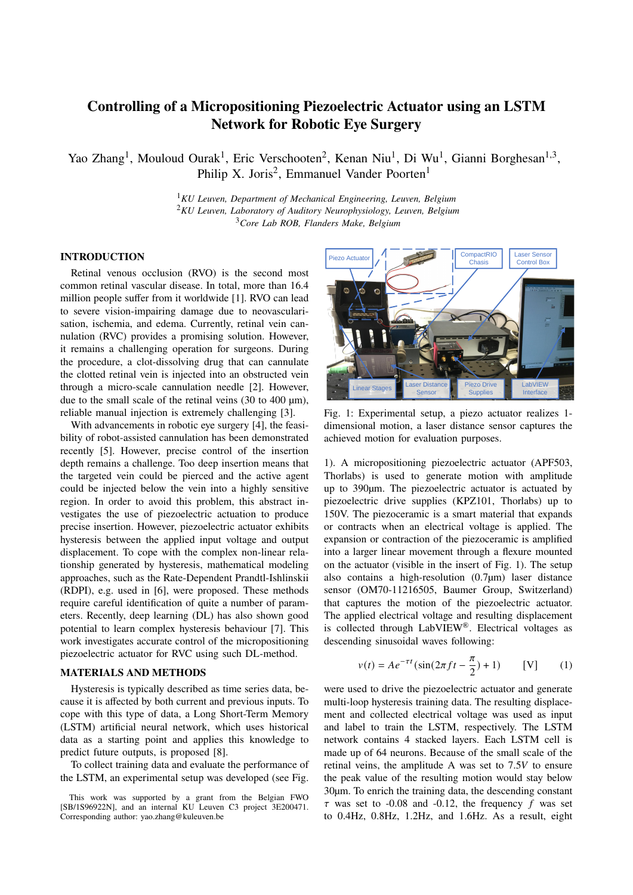# **Controlling of a Micropositioning Piezoelectric Actuator using an LSTM Network for Robotic Eye Surgery**

Yao Zhang<sup>1</sup>, Mouloud Ourak<sup>1</sup>, Eric Verschooten<sup>2</sup>, Kenan Niu<sup>1</sup>, Di Wu<sup>1</sup>, Gianni Borghesan<sup>1,3</sup>, Philip X. Joris<sup>2</sup>, Emmanuel Vander Poorten<sup>1</sup>

> <sup>1</sup>*KU Leuven, Department of Mechanical Engineering, Leuven, Belgium* <sup>2</sup>*KU Leuven, Laboratory of Auditory Neurophysiology, Leuven, Belgium* <sup>3</sup>*Core Lab ROB, Flanders Make, Belgium*

## **INTRODUCTION**

Retinal venous occlusion (RVO) is the second most common retinal vascular disease. In total, more than 16.4 million people suffer from it worldwide [1]. RVO can lead to severe vision-impairing damage due to neovascularisation, ischemia, and edema. Currently, retinal vein cannulation (RVC) provides a promising solution. However, it remains a challenging operation for surgeons. During the procedure, a clot-dissolving drug that can cannulate the clotted retinal vein is injected into an obstructed vein through a micro-scale cannulation needle [2]. However, due to the small scale of the retinal veins  $(30 \text{ to } 400 \text{ µm})$ , reliable manual injection is extremely challenging [3].

With advancements in robotic eye surgery [4], the feasibility of robot-assisted cannulation has been demonstrated recently [5]. However, precise control of the insertion depth remains a challenge. Too deep insertion means that the targeted vein could be pierced and the active agent could be injected below the vein into a highly sensitive region. In order to avoid this problem, this abstract investigates the use of piezoelectric actuation to produce precise insertion. However, piezoelectric actuator exhibits hysteresis between the applied input voltage and output displacement. To cope with the complex non-linear relationship generated by hysteresis, mathematical modeling approaches, such as the Rate-Dependent Prandtl-Ishlinskii (RDPI), e.g. used in [6], were proposed. These methods require careful identification of quite a number of parameters. Recently, deep learning (DL) has also shown good potential to learn complex hysteresis behaviour [7]. This work investigates accurate control of the micropositioning piezoelectric actuator for RVC using such DL-method.

### **MATERIALS AND METHODS**

Hysteresis is typically described as time series data, because it is affected by both current and previous inputs. To cope with this type of data, a Long Short-Term Memory (LSTM) artificial neural network, which uses historical data as a starting point and applies this knowledge to predict future outputs, is proposed [8].

To collect training data and evaluate the performance of the LSTM, an experimental setup was developed (see Fig.



Fig. 1: Experimental setup, a piezo actuator realizes 1 dimensional motion, a laser distance sensor captures the achieved motion for evaluation purposes.

1). A micropositioning piezoelectric actuator (APF503, Thorlabs) is used to generate motion with amplitude up to 390µm. The piezoelectric actuator is actuated by piezoelectric drive supplies (KPZ101, Thorlabs) up to 150V. The piezoceramic is a smart material that expands or contracts when an electrical voltage is applied. The expansion or contraction of the piezoceramic is amplified into a larger linear movement through a flexure mounted on the actuator (visible in the insert of Fig. 1). The setup also contains a high-resolution  $(0.7\mu m)$  laser distance sensor (OM70-11216505, Baumer Group, Switzerland) that captures the motion of the piezoelectric actuator. The applied electrical voltage and resulting displacement is collected through LabVIEW®. Electrical voltages as descending sinusoidal waves following:

$$
v(t) = Ae^{-\tau t} (\sin(2\pi ft - \frac{\pi}{2}) + 1)
$$
 [V] (1)

were used to drive the piezoelectric actuator and generate multi-loop hysteresis training data. The resulting displacement and collected electrical voltage was used as input and label to train the LSTM, respectively. The LSTM network contains 4 stacked layers. Each LSTM cell is made up of 64 neurons. Because of the small scale of the retinal veins, the amplitude A was set to  $7.5V$  to ensure the peak value of the resulting motion would stay below 30µm. To enrich the training data, the descending constant  $\tau$  was set to -0.08 and -0.12, the frequency  $f$  was set to 0.4Hz, 0.8Hz, 1.2Hz, and 1.6Hz. As a result, eight

This work was supported by a grant from the Belgian FWO [SB/1S96922N], and an internal KU Leuven C3 project 3E200471. Corresponding author: yao.zhang@kuleuven.be